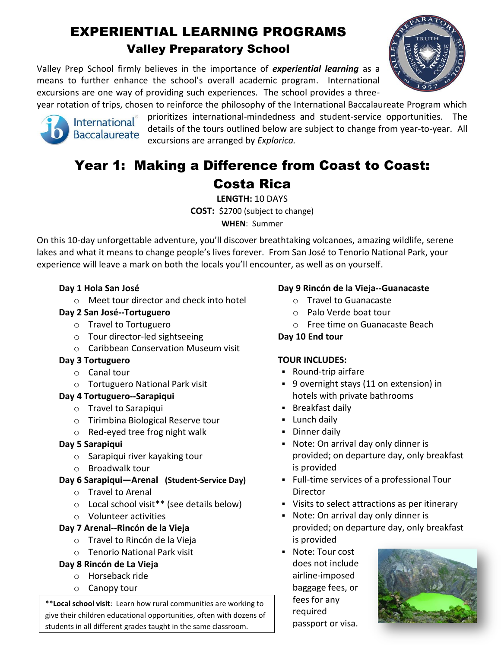# EXPERIENTIAL LEARNING PROGRAMS Valley Preparatory School

Valley Prep School firmly believes in the importance of *experiential learning* as a means to further enhance the school's overall academic program. International excursions are one way of providing such experiences. The school provides a threeyear rotation of trips, chosen to reinforce the philosophy of the International Baccalaureate Program which



prioritizes international-mindedness and student-service opportunities. The details of the tours outlined below are subject to change from year-to-year. All excursions are arranged by *Explorica.*

# Year 1: Making a Difference from Coast to Coast: Costa Rica

**LENGTH:** 10 DAYS **COST:** \$2700 (subject to change) **WHEN**: Summer

On this 10-day unforgettable adventure, you'll discover breathtaking volcanoes, amazing wildlife, serene lakes and what it means to change people's lives forever. From San José to Tenorio National Park, your experience will leave a mark on both the locals you'll encounter, as well as on yourself.

# **Day 1 Hola San José**

o Meet tour director and check into hotel

# **Day 2 San José--Tortuguero**

- o Travel to Tortuguero
- o [Tour director-led sightseeing](javascript:void(0);)
- o [Caribbean Conservation](javascript:void(0);) Museum visit

# **Day 3 Tortuguero**

- o [Canal tour](javascript:void(0);)
- o Tortuguero National Park visit

# **Day 4 Tortuguero--Sarapiqui**

- o Travel to Sarapiqui
- o Tirimbina Biological Reserve tour
- o Red-eyed tree frog night walk

# **Day 5 Sarapiqui**

- o Sarapiqui river kayaking tour
- o Broadwalk tour

# **Day 6 Sarapiqui—Arenal (Student-Service Day)**

- o Travel to Arenal
- o [Local school visit\\*](javascript:void(0);)\* (see details below)
- o Volunteer activities

# **Day 7 Arenal--Rincón de la Vieja**

- o Travel to Rincón de la Vieja
- o Tenorio National Park visit

# **Day 8 Rincón de La Vieja**

- o Horseback ride
- o Canopy tour

\*\***Local school visit**: Learn how rural communities are working to give their children educational opportunities, often with dozens of students in all different grades taught in the same classroom.

# **Day 9 Rincón de la Vieja--Guanacaste**

- o [Travel to Guanacaste](javascript:void(0);)
- o [Palo Verde boat tour](javascript:void(0);)
- o Free time on Guanacaste Beach

# **Day 10 End tour**

# **TOUR INCLUDES:**

- Round-trip airfare
- 9 overnight stays (11 on extension) in hotels with private bathrooms
- **Breakfast daily**
- **-** Lunch daily
- **Dinner daily**
- Note: On arrival day only dinner is provided; on departure day, only breakfast is provided
- Full-time services of a professional Tour Director
- Visits to select attractions as per itinerary
- Note: On arrival day only dinner is provided; on departure day, only breakfast is provided
- Note: Tour cost does not include airline-imposed baggage fees, or fees for any required passport or visa.



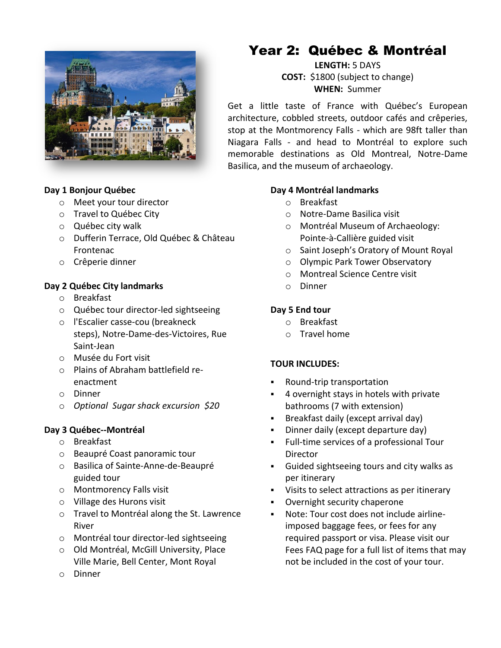

#### **Day 1 Bonjour Québec**

- o Meet your tour director
- o Travel to Québec City
- o [Québec city walk](javascript:void(0);)
- o [Dufferin Terrace,](javascript:void(0);) Old Québec & Château Frontenac
- o [Crêperie dinner](javascript:void(0);)

#### **Day 2 Québec City landmarks**

- o Breakfast
- o [Québec tour director-led sightseeing](javascript:void(0);)
- o l'Escalier casse-cou (breakneck steps), Notre-Dame-des-Victoires, Rue Saint-Jean
- o [Musée du Fort visit](javascript:void(0);)
- o [Plains of Abraham battlefield re](javascript:void(0);)[enactment](javascript:void(0);)
- o Dinner
- o *Optional [Sugar shack excursion](javascript:void(0);) \$20*

#### **Day 3 Québec--Montréal**

- o Breakfast
- o [Beaupré Coast panoramic tour](javascript:void(0);)
- o [Basilica of Sainte-Anne-de-Beaupré](javascript:void(0);)  [guided tour](javascript:void(0);)
- o [Montmorency Falls visit](javascript:void(0);)
- o [Village des Hurons visit](javascript:void(0);)
- o Travel to Montréal along the St. Lawrence River
- o [Montréal tour director-led sightseeing](javascript:void(0);)
- o Old Montréal, McGill University, Place Ville Marie, Bell Center, Mont Royal
- o Dinner

# Year 2: Québec & Montréal

**LENGTH:** 5 DAYS **COST:** \$1800 (subject to change) **WHEN:** Summer

Get a little taste of France with Québec's European architecture, cobbled streets, outdoor cafés and crêperies, stop at the Montmorency Falls - which are 98ft taller than Niagara Falls - and head to Montréal to explore such memorable destinations as Old Montreal, Notre-Dame Basilica, and the museum of archaeology.

#### **Day 4 Montréal landmarks**

- o Breakfast
- o [Notre-Dame Basilica visit](javascript:void(0);)
- o [Montréal Museum of Archaeology:](javascript:void(0);)  [Pointe-à-Callière guided visit](javascript:void(0);)
- o [Saint Joseph's Oratory of Mount Royal](javascript:void(0);)
- o [Olympic Park Tower Observatory](javascript:void(0);)
- o [Montreal Science Centre visit](javascript:void(0);)
- o Dinner

#### **Day 5 End tour**

- o Breakfast
- o Travel home

#### **TOUR INCLUDES:**

- Round-trip transportation
- 4 overnight stays in hotels with private bathrooms (7 with extension)
- **Breakfast daily (except arrival day)**
- Dinner daily (except departure day)
- Full-time services of a professional Tour Director
- Guided sightseeing tours and city walks as per itinerary
- Visits to select attractions as per itinerary
- Overnight security chaperone
- Note: Tour cost does not include airlineimposed baggage fees, or fees for any required passport or visa. Please visit our Fees FAQ page for a full list of items that may not be included in the cost of your tour.